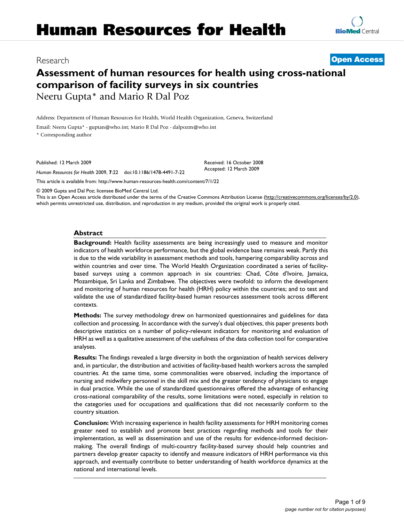# **Assessment of human resources for health using cross-national comparison of facility surveys in six countries** Neeru Gupta\* and Mario R Dal Poz

Address: Department of Human Resources for Health, World Health Organization, Geneva, Switzerland

Email: Neeru Gupta\* - guptan@who.int; Mario R Dal Poz - dalpozm@who.int \* Corresponding author

Published: 12 March 2009

*Human Resources for Health* 2009, **7**:22 doi:10.1186/1478-4491-7-22

[This article is available from: http://www.human-resources-health.com/content/7/1/22](http://www.human-resources-health.com/content/7/1/22)

© 2009 Gupta and Dal Poz; licensee BioMed Central Ltd.

This is an Open Access article distributed under the terms of the Creative Commons Attribution License [\(http://creativecommons.org/licenses/by/2.0\)](http://creativecommons.org/licenses/by/2.0), which permits unrestricted use, distribution, and reproduction in any medium, provided the original work is properly cited.

#### **Abstract**

**Background:** Health facility assessments are being increasingly used to measure and monitor indicators of health workforce performance, but the global evidence base remains weak. Partly this is due to the wide variability in assessment methods and tools, hampering comparability across and within countries and over time. The World Health Organization coordinated a series of facilitybased surveys using a common approach in six countries: Chad, Côte d'Ivoire, Jamaica, Mozambique, Sri Lanka and Zimbabwe. The objectives were twofold: to inform the development and monitoring of human resources for health (HRH) policy within the countries; and to test and validate the use of standardized facility-based human resources assessment tools across different contexts.

**Methods:** The survey methodology drew on harmonized questionnaires and guidelines for data collection and processing. In accordance with the survey's dual objectives, this paper presents both descriptive statistics on a number of policy-relevant indicators for monitoring and evaluation of HRH as well as a qualitative assessment of the usefulness of the data collection tool for comparative analyses.

**Results:** The findings revealed a large diversity in both the organization of health services delivery and, in particular, the distribution and activities of facility-based health workers across the sampled countries. At the same time, some commonalities were observed, including the importance of nursing and midwifery personnel in the skill mix and the greater tendency of physicians to engage in dual practice. While the use of standardized questionnaires offered the advantage of enhancing cross-national comparability of the results, some limitations were noted, especially in relation to the categories used for occupations and qualifications that did not necessarily conform to the country situation.

**Conclusion:** With increasing experience in health facility assessments for HRH monitoring comes greater need to establish and promote best practices regarding methods and tools for their implementation, as well as dissemination and use of the results for evidence-informed decisionmaking. The overall findings of multi-country facility-based survey should help countries and partners develop greater capacity to identify and measure indicators of HRH performance via this approach, and eventually contribute to better understanding of health workforce dynamics at the national and international levels.



Research **[Open Access](http://www.biomedcentral.com/info/about/charter/)**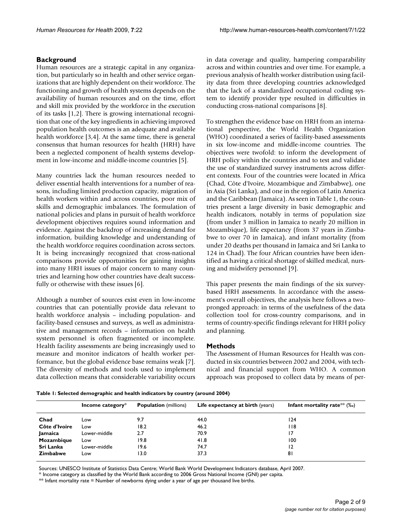# **Background**

Human resources are a strategic capital in any organization, but particularly so in health and other service organizations that are highly dependent on their workforce. The functioning and growth of health systems depends on the availability of human resources and on the time, effort and skill mix provided by the workforce in the execution of its tasks [1,2]. There is growing international recognition that one of the key ingredients in achieving improved population health outcomes is an adequate and available health workforce [3,4]. At the same time, there is general consensus that human resources for health (HRH) have been a neglected component of health systems development in low-income and middle-income countries [5].

Many countries lack the human resources needed to deliver essential health interventions for a number of reasons, including limited production capacity, migration of health workers within and across countries, poor mix of skills and demographic imbalances. The formulation of national policies and plans in pursuit of health workforce development objectives requires sound information and evidence. Against the backdrop of increasing demand for information, building knowledge and understanding of the health workforce requires coordination across sectors. It is being increasingly recognized that cross-national comparisons provide opportunities for gaining insights into many HRH issues of major concern to many countries and learning how other countries have dealt successfully or otherwise with these issues [6].

Although a number of sources exist even in low-income countries that can potentially provide data relevant to health workforce analysis – including population- and facility-based censuses and surveys, as well as administrative and management records – information on health system personnel is often fragmented or incomplete. Health facility assessments are being increasingly used to measure and monitor indicators of health worker performance, but the global evidence base remains weak [7]. The diversity of methods and tools used to implement data collection means that considerable variability occurs in data coverage and quality, hampering comparability across and within countries and over time. For example, a previous analysis of health worker distribution using facility data from three developing countries acknowledged that the lack of a standardized occupational coding system to identify provider type resulted in difficulties in conducting cross-national comparisons [8].

To strengthen the evidence base on HRH from an international perspective, the World Health Organization (WHO) coordinated a series of facility-based assessments in six low-income and middle-income countries. The objectives were twofold: to inform the development of HRH policy within the countries and to test and validate the use of standardized survey instruments across different contexts. Four of the countries were located in Africa (Chad, Côte d'Ivoire, Mozambique and Zimbabwe), one in Asia (Sri Lanka), and one in the region of Latin America and the Caribbean (Jamaica). As seen in Table 1, the countries present a large diversity in basic demographic and health indicators, notably in terms of population size (from under 3 million in Jamaica to nearly 20 million in Mozambique), life expectancy (from 37 years in Zimbabwe to over 70 in Jamaica), and infant mortality (from under 20 deaths per thousand in Jamaica and Sri Lanka to 124 in Chad). The four African countries have been identified as having a critical shortage of skilled medical, nursing and midwifery personnel [9].

This paper presents the main findings of the six surveybased HRH assessments. In accordance with the assessment's overall objectives, the analysis here follows a twopronged approach: in terms of the usefulness of the data collection tool for cross-country comparisons, and in terms of country-specific findings relevant for HRH policy and planning.

#### **Methods**

The Assessment of Human Resources for Health was conducted in six countries between 2002 and 2004, with technical and financial support from WHO. A common approach was proposed to collect data by means of per-

|                 | Income category* | <b>Population</b> (millions) | <b>Life expectancy at birth (years)</b> | Infant mortality rate $\approx$ (%) |
|-----------------|------------------|------------------------------|-----------------------------------------|-------------------------------------|
| Chad            | Low              | 9.7                          | 44.0                                    | 124                                 |
| Côte d'Ivoire   | Low              | 18.2                         | 46.2                                    | l 18                                |
| Jamaica         | Lower-middle     | 2.7                          | 70.9                                    | 17                                  |
| Mozambique      | Low              | 19.8                         | 41.8                                    | 100                                 |
| Sri Lanka       | Lower-middle     | 19.6                         | 74.7                                    | 12                                  |
| <b>Zimbabwe</b> | Low              | 13.0                         | 37.3                                    | 81                                  |

Sources: UNESCO Institute of Statistics Data Centre; World Bank World Development Indicators database, April 2007.

\* Income category as classified by the World Bank according to 2006 Gross National Income (GNI) per capita.

\*\* Infant mortality rate = Number of newborns dying under a year of age per thousand live births.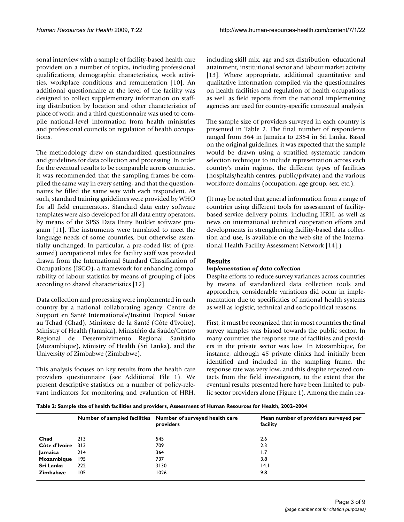sonal interview with a sample of facility-based health care providers on a number of topics, including professional qualifications, demographic characteristics, work activities, workplace conditions and remuneration [10]. An additional questionnaire at the level of the facility was designed to collect supplementary information on staffing distribution by location and other characteristics of place of work, and a third questionnaire was used to compile national-level information from health ministries and professional councils on regulation of health occupations.

The methodology drew on standardized questionnaires and guidelines for data collection and processing. In order for the eventual results to be comparable across countries, it was recommended that the sampling frames be compiled the same way in every setting, and that the questionnaires be filled the same way with each respondent. As such, standard training guidelines were provided by WHO for all field enumerators. Standard data entry software templates were also developed for all data entry operators, by means of the SPSS Data Entry Builder software program [11]. The instruments were translated to meet the language needs of some countries, but otherwise essentially unchanged. In particular, a pre-coded list of (presumed) occupational titles for facility staff was provided drawn from the International Standard Classification of Occupations (ISCO), a framework for enhancing comparability of labour statistics by means of grouping of jobs according to shared characteristics [12].

Data collection and processing were implemented in each country by a national collaborating agency: Centre de Support en Santé Internationale/Institut Tropical Suisse au Tchad (Chad), Ministère de la Santé (Côte d'Ivoire), Ministry of Health (Jamaica), Ministério da Saúde/Centro Regional de Desenvolvimento Regional Sanitário (Mozambique), Ministry of Health (Sri Lanka), and the University of Zimbabwe (Zimbabwe).

This analysis focuses on key results from the health care providers questionnaire (see Additional File 1). We present descriptive statistics on a number of policy-relevant indicators for monitoring and evaluation of HRH,

including skill mix, age and sex distribution, educational attainment, institutional sector and labour market activity [13]. Where appropriate, additional quantitative and qualitative information compiled via the questionnaires on health facilities and regulation of health occupations as well as field reports from the national implementing agencies are used for country-specific contextual analysis.

The sample size of providers surveyed in each country is presented in Table 2. The final number of respondents ranged from 364 in Jamaica to 2354 in Sri Lanka. Based on the original guidelines, it was expected that the sample would be drawn using a stratified systematic random selection technique to include representation across each country's main regions, the different types of facilities (hospitals/health centres, public/private) and the various workforce domains (occupation, age group, sex, etc.).

(It may be noted that general information from a range of countries using different tools for assessment of facilitybased service delivery points, including HRH, as well as news on international technical cooperation efforts and developments in strengthening facility-based data collection and use, is available on the web site of the International Health Facility Assessment Network [14].)

# **Results**

# *Implementation of data collection*

Despite efforts to reduce survey variances across countries by means of standardized data collection tools and approaches, considerable variations did occur in implementation due to specificities of national health systems as well as logistic, technical and sociopolitical reasons.

First, it must be recognized that in most countries the final survey samples was biased towards the public sector. In many countries the response rate of facilities and providers in the private sector was low. In Mozambique, for instance, although 45 private clinics had initially been identified and included in the sampling frame, the response rate was very low, and this despite repeated contacts from the field investigators, to the extent that the eventual results presented here have been limited to public sector providers alone (Figure 1). Among the main rea-

**Table 2: Sample size of health facilities and providers, Assessment of Human Resources for Health, 2002–2004**

|                   |     | Number of sampled facilities Number of surveyed health care<br>providers | Mean number of providers surveyed per<br>facility |
|-------------------|-----|--------------------------------------------------------------------------|---------------------------------------------------|
| Chad              | 213 | 545                                                                      | 2.6                                               |
| Côte d'Ivoire 313 |     | 709                                                                      | 2.3                                               |
| Jamaica           | 214 | 364                                                                      | 1.7                                               |
| Mozambique        | 195 | 737                                                                      | 3.8                                               |
| Sri Lanka         | 222 | 3130                                                                     | 4.1                                               |
| <b>Zimbabwe</b>   | 105 | 1026                                                                     | 9.8                                               |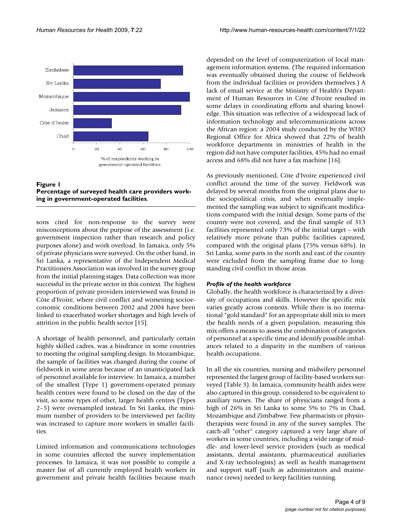



sons cited for non-response to the survey were misconceptions about the purpose of the assessment (i.e. government inspection rather than research and policy purposes alone) and work overload. In Jamaica, only 5% of private physicians were surveyed. On the other hand, in Sri Lanka, a representative of the Independent Medical Practitioners Association was involved in the survey group from the initial planning stages. Data collection was more successful in the private sector in this context. The highest proportion of private providers interviewed was found in Côte d'Ivoire, where civil conflict and worsening socioeconomic conditions between 2002 and 2004 have been linked to exacerbated worker shortages and high levels of attrition in the public health sector [15].

A shortage of health personnel, and particularly certain highly skilled cadres, was a hindrance in some countries to meeting the original sampling design. In Mozambique, the sample of facilities was changed during the course of fieldwork in some areas because of an unanticipated lack of personnel available for interview. In Jamaica, a number of the smallest (Type 1) government-operated primary health centres were found to be closed on the day of the visit, so some types of other, larger health centres (Types 2–5) were oversampled instead. In Sri Lanka, the minimum number of providers to be interviewed per facility was increased to capture more workers in smaller facilities.

Limited information and communications technologies in some countries affected the survey implementation processes. In Jamaica, it was not possible to compile a master list of all currently employed health workers in government and private health facilities because much

depended on the level of computerization of local management information systems. (The required information was eventually obtained during the course of fieldwork from the individual facilities or providers themselves.) A lack of email service at the Ministry of Health's Department of Human Resources in Côte d'Ivoire resulted in some delays in coordinating efforts and sharing knowledge. This situation was reflective of a widespread lack of information technology and telecommunications across the African region: a 2004 study conducted by the WHO Regional Office for Africa showed that 22% of health workforce departments in ministries of health in the region did not have computer facilities, 45% had no email access and 68% did not have a fax machine [16].

As previously mentioned, Côte d'Ivoire experienced civil conflict around the time of the survey. Fieldwork was delayed by several months from the original plans due to the sociopolitical crisis, and when eventually implemented the sampling was subject to significant modifications compared with the initial design. Some parts of the country were not covered, and the final sample of 313 facilities represented only 73% of the initial target – with relatively more private than public facilities captured, compared with the original plans (75% versus 68%). In Sri Lanka, some parts in the north and east of the country were excluded from the sampling frame due to longstanding civil conflict in those areas.

#### *Profile of the health workforce*

Globally, the health workforce is characterized by a diversity of occupations and skills. However the specific mix varies greatly across contexts. While there is no international "gold standard" for an appropriate skill mix to meet the health needs of a given population, measuring this mix offers a means to assess the combination of categories of personnel at a specific time and identify possible imbalances related to a disparity in the numbers of various health occupations.

In all the six countries, nursing and midwifery personnel represented the largest group of facility-based workers surveyed (Table 3). In Jamaica, community health aides were also captured in this group, considered to be equivalent to auxiliary nurses. The share of physicians ranged from a high of 26% in Sri Lanka to some 5% to 7% in Chad, Mozambique and Zimbabwe. Few pharmacists or physiotherapists were found in any of the survey samples. The catch-all "other" category captured a very large share of workers in some countries, including a wide range of middle- and lower-level service providers (such as medical assistants, dental assistants, pharmaceutical auxiliaries and X-ray technologists) as well as health management and support staff (such as administrators and maintenance crews) needed to keep facilities running.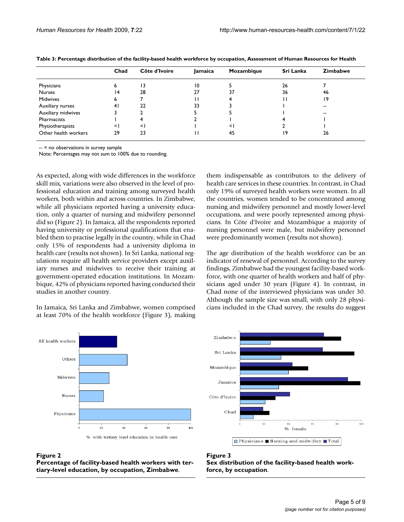|                      | Chad   | Côte d'Ivoire | Jamaica | Mozambique | Sri Lanka | <b>Zimbabwe</b> |
|----------------------|--------|---------------|---------|------------|-----------|-----------------|
| Physicians           | 6      | 13            | 10      |            | 26        |                 |
| <b>Nurses</b>        | 4      | 28            | 27      | 37         | 36        | 46              |
| Midwives             | 6      |               | Н       |            |           | 19              |
| Auxiliary nurses     | 41     | 22            | 33      |            |           | $- -$           |
| Auxiliary midwives   |        |               |         |            |           | $- -$           |
| Pharmacists          |        |               |         |            |           |                 |
| Physiotherapists     | $\leq$ | $\leq$        |         | ا>         |           |                 |
| Other health workers | 29     | 23            |         | 45         | 19        | 26              |

**Table 3: Percentage distribution of the facility-based health workforce by occupation, Assessment of Human Resources for Health**

-- = no observations in survey sample

Note: Percentages may not sum to 100% due to rounding.

As expected, along with wide differences in the workforce skill mix, variations were also observed in the level of professional education and training among surveyed health workers, both within and across countries. In Zimbabwe, while all physicians reported having a university education, only a quarter of nursing and midwifery personnel did so (Figure 2). In Jamaica, all the respondents reported having university or professional qualifications that enabled them to practise legally in the country, while in Chad only 15% of respondents had a university diploma in health care (results not shown). In Sri Lanka, national regulations require all health service providers except auxiliary nurses and midwives to receive their training at government-operated education institutions. In Mozambique, 42% of physicians reported having conducted their studies in another country.

In Jamaica, Sri Lanka and Zimbabwe, women comprised at least 70% of the health workforce (Figure 3), making





#### **Figure 2**

**Percentage of facility-based health workers with tertiary-level education, by occupation, Zimbabwe**.

#### **Figure 3 Sex distribution of the facility-based health workforce, by occupation**.

them indispensable as contributors to the delivery of health care services in these countries. In contrast, in Chad only 19% of surveyed health workers were women. In all the countries, women tended to be concentrated among nursing and midwifery personnel and mostly lower-level occupations, and were poorly represented among physicians. In Côte d'Ivoire and Mozambique a majority of nursing personnel were male, but midwifery personnel were predominantly women (results not shown).

The age distribution of the health workforce can be an indicator of renewal of personnel. According to the survey findings, Zimbabwe had the youngest facility-based workforce, with one quarter of health workers and half of physicians aged under 30 years (Figure 4). In contrast, in Chad none of the interviewed physicians was under 30. Although the sample size was small, with only 28 physicians included in the Chad survey, the results do suggest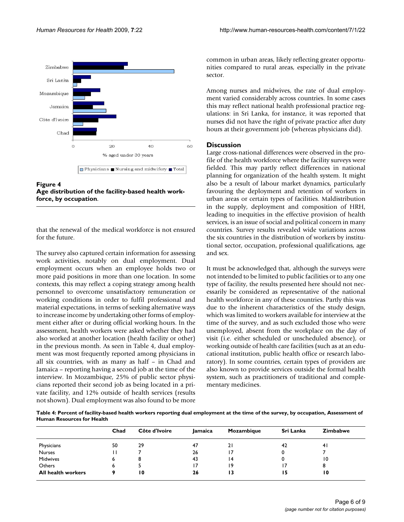

Figure 4 **Age distribution of the facility-based health workforce, by occupation**.

that the renewal of the medical workforce is not ensured for the future.

The survey also captured certain information for assessing work activities, notably on dual employment. Dual employment occurs when an employee holds two or more paid positions in more than one location. In some contexts, this may reflect a coping strategy among health personnel to overcome unsatisfactory remuneration or working conditions in order to fulfil professional and material expectations, in terms of seeking alternative ways to increase income by undertaking other forms of employment either after or during official working hours. In the assessment, health workers were asked whether they had also worked at another location (health facility or other) in the previous month. As seen in Table 4, dual employment was most frequently reported among physicians in all six countries, with as many as half – in Chad and Jamaica – reporting having a second job at the time of the interview. In Mozambique, 25% of public sector physicians reported their second job as being located in a private facility, and 12% outside of health services (results not shown). Dual employment was also found to be more

common in urban areas, likely reflecting greater opportunities compared to rural areas, especially in the private sector.

Among nurses and midwives, the rate of dual employment varied considerably across countries. In some cases this may reflect national health professional practice regulations: in Sri Lanka, for instance, it was reported that nurses did not have the right of private practice after duty hours at their government job (whereas physicians did).

#### **Discussion**

Large cross-national differences were observed in the profile of the health workforce where the facility surveys were fielded. This may partly reflect differences in national planning for organization of the health system. It might also be a result of labour market dynamics, particularly favouring the deployment and retention of workers in urban areas or certain types of facilities. Maldistribution in the supply, deployment and composition of HRH, leading to inequities in the effective provision of health services, is an issue of social and political concern in many countries. Survey results revealed wide variations across the six countries in the distribution of workers by institutional sector, occupation, professional qualifications, age and sex.

It must be acknowledged that, although the surveys were not intended to be limited to public facilities or to any one type of facility, the results presented here should not necessarily be considered as representative of the national health workforce in any of these countries. Partly this was due to the inherent characteristics of the study design, which was limited to workers available for interview at the time of the survey, and as such excluded those who were unemployed, absent from the workplace on the day of visit (i.e. either scheduled or unscheduled absence), or working outside of health care facilities (such as at an educational institution, public health office or research laboratory). In some countries, certain types of providers are also known to provide services outside the formal health system, such as practitioners of traditional and complementary medicines.

**Table 4: Percent of facility-based health workers reporting dual employment at the time of the survey, by occupation, Assessment of Human Resources for Health**

|                    | Chad | Côte d'Ivoire | Jamaica | Mozambique      | Sri Lanka       | <b>Zimbabwe</b> |
|--------------------|------|---------------|---------|-----------------|-----------------|-----------------|
| Physicians         | 50   | 29            | 47      | 21              | 42              | 41              |
| Nurses             |      |               | 26      | 17              | 0               |                 |
| Midwives           | ь    | 8             | 43      | $\overline{14}$ | 0               | 10              |
| Others             | O    |               | 17      | 19              | $\overline{17}$ |                 |
| All health workers |      | 10            | 26      | 13              | 15              | 10              |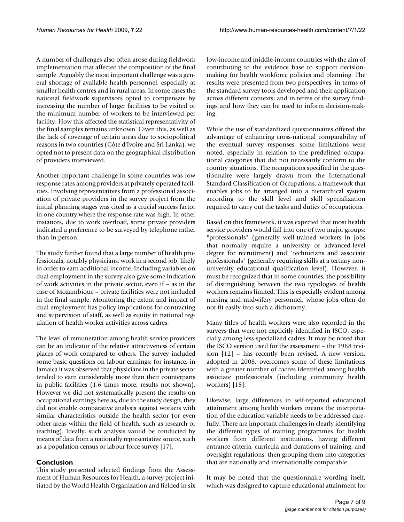A number of challenges also often arose during fieldwork implementation that affected the composition of the final sample. Arguably the most important challenge was a general shortage of available health personnel, especially at smaller health centres and in rural areas. In some cases the national fieldwork supervisors opted to compensate by increasing the number of larger facilities to be visited or the minimum number of workers to be interviewed per facility. How this affected the statistical representativity of the final samples remains unknown. Given this, as well as the lack of coverage of certain areas due to sociopolitical reasons in two countries (Côte d'Ivoire and Sri Lanka), we opted not to present data on the geographical distribution of providers interviewed.

Another important challenge in some countries was low response rates among providers at privately operated facilities. Involving representatives from a professional association of private providers in the survey project from the initial planning stages was cited as a crucial success factor in one country where the response rate was high. In other instances, due to work overload, some private providers indicated a preference to be surveyed by telephone rather than in person.

The study further found that a large number of health professionals, notably physicians, work in a second job, likely in order to earn additional income. Including variables on dual employment in the survey also gave some indication of work activities in the private sector, even if – as in the case of Mozambique – private facilities were not included in the final sample. Monitoring the extent and impact of dual employment has policy implications for contracting and supervision of staff, as well as equity in national regulation of health worker activities across cadres.

The level of remuneration among health service providers can be an indicator of the relative attractiveness of certain places of work compared to others. The survey included some basic questions on labour earnings; for instance, in Jamaica it was observed that physicians in the private sector tended to earn considerably more than their counterparts in public facilities (1.6 times more, results not shown). However we did not systematically present the results on occupational earnings here as, due to the study design, they did not enable comparative analysis against workers with similar characteristics outside the health sector (or even other areas within the field of health, such as research or teaching). Ideally, such analysis would be conducted by means of data from a nationally representative source, such as a population census or labour force survey [17].

# **Conclusion**

This study presented selected findings from the Assessment of Human Resources for Health, a survey project initiated by the World Health Organization and fielded in six low-income and middle-income countries with the aim of contributing to the evidence base to support decisionmaking for health workforce policies and planning. The results were presented from two perspectives: in terms of the standard survey tools developed and their application across different contexts; and in terms of the survey findings and how they can be used to inform decision-making.

While the use of standardized questionnaires offered the advantage of enhancing cross-national comparability of the eventual survey responses, some limitations were noted, especially in relation to the predefined occupational categories that did not necessarily conform to the country situations. The occupations specified in the questionnaire were largely drawn from the International Standard Classification of Occupations, a framework that enables jobs to be arranged into a hierarchical system according to the skill level and skill specialization required to carry out the tasks and duties of occupations.

Based on this framework, it was expected that most health service providers would fall into one of two major groups: "professionals" (generally well-trained workers in jobs that normally require a university or advanced-level degree for recruitment) and "technicians and associate professionals" (generally requiring skills at a tertiary nonuniversity educational qualification level). However, it must be recognized that in some countries, the possibility of distinguishing between the two typologies of health workers remains limited. This is especially evident among nursing and midwifery personnel, whose jobs often do not fit easily into such a dichotomy.

Many titles of health workers were also recorded in the surveys that were not explicitly identified in ISCO, especially among less-specialized cadres. It may be noted that the ISCO version used for the assessment – the 1988 revision [12] – has recently been revised. A new version, adopted in 2008, overcomes some of these limitations with a greater number of cadres identified among health associate professionals (including community health workers) [18].

Likewise, large differences in self-reported educational attainment among health workers means the interpretation of the education variable needs to be addressed carefully. There are important challenges in clearly identifying the different types of training programmes for health workers from different institutions, having different entrance criteria, curricula and durations of training, and oversight regulations, then grouping them into categories that are nationally and internationally comparable.

It may be noted that the questionnaire wording itself, which was designed to capture educational attainment for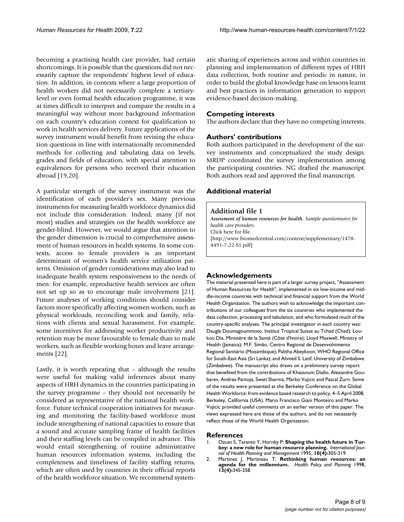becoming a practising health care provider, had certain shortcomings. It is possible that the questions did not necessarily capture the respondents' highest level of education. In addition, in contexts where a large proportion of health workers did not necessarily complete a tertiarylevel or even formal health education programme, it was at times difficult to interpret and compare the results in a meaningful way without more background information on each country's education context for qualification to work in health services delivery. Future applications of the survey instrument would benefit from revising the education questions in line with internationally recommended methods for collecting and tabulating data on levels, grades and fields of education, with special attention to equivalences for persons who received their education abroad [19,20].

A particular strength of the survey instrument was the identification of each provider's sex. Many previous instruments for measuring health workforce dynamics did not include this consideration. Indeed, many (if not most) studies and strategies on the health workforce are gender-blind. However, we would argue that attention to the gender dimension is crucial to comprehensive assessment of human resources in health systems. In some contexts, access to female providers is an important determinant of women's health service utilization patterns. Omission of gender considerations may also lead to inadequate health system responsiveness to the needs of men: for example, reproductive health services are often not set up so as to encourage male involvement [21]. Future analyses of working conditions should consider factors more specifically affecting women workers, such as physical workloads, reconciling work and family, relations with clients and sexual harassment. For example, some incentives for addressing worker productivity and retention may be more favourable to female than to male workers, such as flexible working hours and leave arrangements [22].

Lastly, it is worth repeating that – although the results were useful for making valid inferences about many aspects of HRH dynamics in the countries participating in the survey programme – they should not necessarily be considered as representative of the national health workforce. Future technical cooperation initiatives for measuring and monitoring the facility-based workforce must include strengthening of national capacities to ensure that a sound and accurate sampling frame of health facilities and their staffing levels can be compiled in advance. This would entail strengthening of routine administrative human resources information systems, including the completeness and timeliness of facility staffing returns, which are often used by countries in their official reports of the health workforce situation. We recommend systematic sharing of experiences across and within countries in planning and implementation of different types of HRH data collection, both routine and periodic in nature, in order to build the global knowledge base on lessons learnt and best practices in information generation to support evidence-based decision-making.

# **Competing interests**

The authors declare that they have no competing interests.

# **Authors' contributions**

Both authors participated in the development of the survey instruments and conceptualized the study design. MRDP coordinated the survey implementation among the participating countries. NG drafted the manuscript. Both authors read and approved the final manuscript.

# **Additional material**

### **Additional file 1**

*Assessment of human resources for health. Sample questionnaire for health care providers.* Click here for file [\[http://www.biomedcentral.com/content/supplementary/1478-](http://www.biomedcentral.com/content/supplementary/1478-4491-7-22-S1.pdf) 4491-7-22-S1.pdf]

# **Acknowledgements**

The material presented here is part of a larger survey project, "Assessment of Human Resources for Health", implemented in six low-income and middle-income countries with technical and financial support from the World Health Organization. The authors wish to acknowledge the important contributions of our colleagues from the six countries who implemented the data collection, processing and tabulation, and who formulated much of the country-specific analyses. The principal investigator in each country was: Daugla Doumagoummoto, Institut Tropical Suisse au Tchad (Chad); Loukou Dia, Ministère de la Santé (Côte d'Ivoire); Lloyd Maxwell, Ministry of Health (Jamaica); M.F. Simão, Centro Regional de Desenvolvimento Regional Sanitário (Mozambique); Palitha Abeykoon, WHO Regional Office for South-East Asia (Sri Lanka); and Ahmed S. Latif, University of Zimbabwe (Zimbabwe). The manuscript also draws on a preliminary survey report that benefited from the contributions of Khassoum Diallo, Alexandre Goubarev, Andrea Pantoja, Swati Sharma, Marko Vujicic and Pascal Zurn. Some of the results were presented at the Berkeley Conference on the Global Health Workforce: from evidence based research to policy, 4–5 April 2008, Berkeley, California (USA). Mario Francisco Giani Monteiro and Marko Vujicic provided useful comments on an earlier version of this paper. The views expressed here are those of the authors, and do not necessarily reflect those of the World Health Organization.

#### **References**

- 1. Ozcan S, Taranto Y, Hornby P: **Shaping the health future in Turkey: a new role for human resource planning.** *International Journal of Health Planning and Management* 1995, **10(4):**305-319.
- 2. Martínez J, Martineau T: **Rethinking human resources: an agenda for the millennium.** *Health Policy and Planning* 1998, **13(4):**345-358.